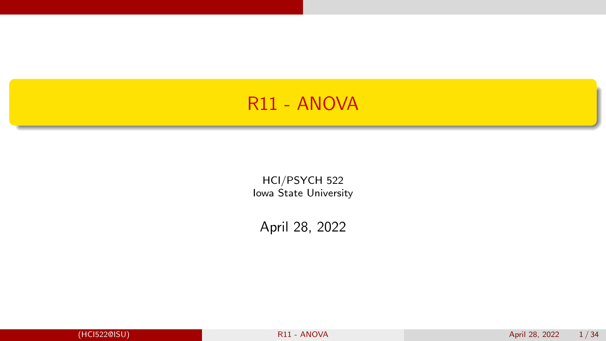#### <span id="page-0-0"></span>R11 - ANOVA

HCI/PSYCH 522 Iowa State University

April 28, 2022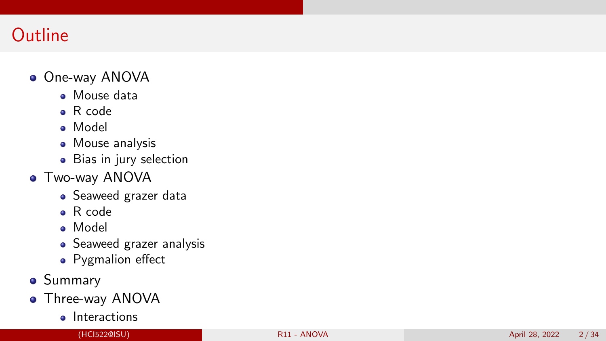# **Outline**

#### One-way ANOVA

- Mouse data
- R code
- Model
- **•** Mouse analysis
- Bias in jury selection
- Two-way ANOVA
	- Seaweed grazer data
	- R code
	- Model
	- Seaweed grazer analysis
	- Pygmalion effect
- **•** Summary
- **•** Three-way ANOVA
	- **o** Interactions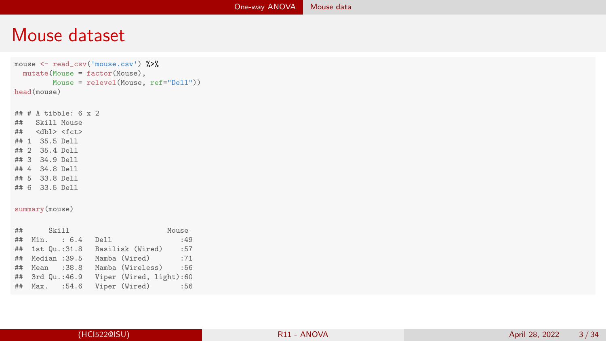#### <span id="page-2-0"></span>Mouse dataset

```
mouse <- read csv('mouse.csv') %>%
 mutate(Mouse = factor(Mouse),
       Mouse = relevel(Mouse, ref="Dell"))
head(mouse)
# # # A tibble: 6 x 2<br># # Skill MouseSkill Mouse
## <dbl> <fct>
## 1 35.5 Dell
## 2 35.4 Dell
## 3 34.9 Dell
## 4 34.8 Dell
## 5 33.8 Dell
## 6 33.5 Dell
summary(mouse)
## Skill Mouse
   Min. : 6.4## 1st Qu.:31.8 Basilisk (Wired) :57
## Median :39.5 Mamba (Wired) :71
## Mean :38.8 Mamba (Wireless)
## 3rd Qu.:46.9 Viper (Wired, light):60
## Max. :54.6 Viper (Wired) :56
```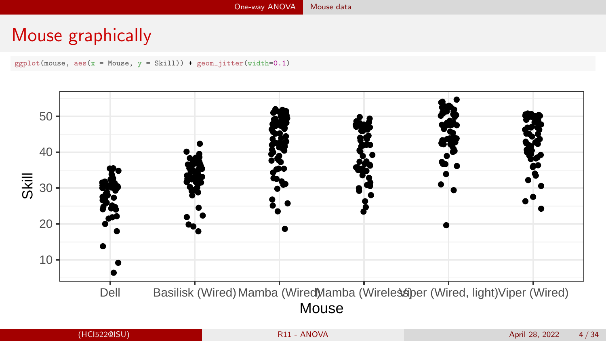## Mouse graphically

 $ggplot(mouse, aes(x = Mouse, y = Skill)) + geom_jitter(width=0.1)$ 

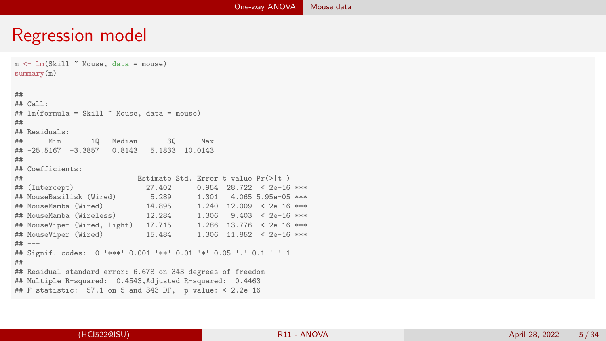#### Regression model

m <- lm(Skill ~ Mouse, data = mouse) summary(m) ##  $##$  Call: ## lm(formula = Skill ~ Mouse, data = mouse) ## ## Residuals: 10 Median 30 Max ## -25.5167 -3.3857 0.8143 5.1833 10.0143 ## ## Coefficients: ## Estimate Std. Error t value Pr(>|t|)  $0.954$   $28.722$  <  $2e-16$  \*\*\* ## MouseBasilisk (Wired) 5.289 1.301 4.065 5.95e-05 \*\*\*  $1.240$   $12.009$  <  $2e-16$  \*\*\*<br> $1.306$   $9.403$  <  $2e-16$  \*\*\* ## MouseMamba (Wireless) 12.284 ## MouseViper (Wired, light) 17.715 1.286 13.776 < 2e-16 \*\*\*  $1.306$   $11.852$  < 2e-16 \*\*\* ## --- ## Signif. codes: 0 '\*\*\*' 0.001 '\*\*' 0.01 '\*' 0.05 '.' 0.1 ' ' 1 ## ## Residual standard error: 6.678 on 343 degrees of freedom ## Multiple R-squared: 0.4543,Adjusted R-squared: 0.4463 ## F-statistic: 57.1 on 5 and 343 DF, p-value: < 2.2e-16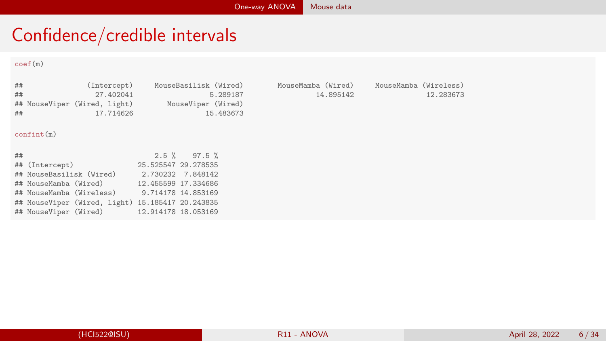### Confidence/credible intervals

#### coef(m)

| ##<br>##<br>## | (Intercept)<br>27.402041<br>## MouseViper (Wired, light) MouseViper (Wired)<br>17.714626 | MouseBasilisk (Wired)<br>5.289187<br>15.483673 | 14.895142 | MouseMamba (Wired) MouseMamba (Wireless)<br>12.283673 |
|----------------|------------------------------------------------------------------------------------------|------------------------------------------------|-----------|-------------------------------------------------------|
|                | confint(m)                                                                               |                                                |           |                                                       |
| ##             |                                                                                          | $2.5 \%$ 97.5 %                                |           |                                                       |
|                | ## (Intercept)                                                                           | 25.525547 29.278535                            |           |                                                       |
|                | ## MouseBasilisk (Wired) 2.730232 7.848142                                               |                                                |           |                                                       |
|                | ## MouseMamba (Wired) 12.455599 17.334686                                                |                                                |           |                                                       |
|                | ## MouseMamba (Wireless) 9.714178 14.853169                                              |                                                |           |                                                       |
|                | ## MouseViper (Wired, light) 15.185417 20.243835                                         |                                                |           |                                                       |
|                | ## MouseViper (Wired) 12.914178 18.053169                                                |                                                |           |                                                       |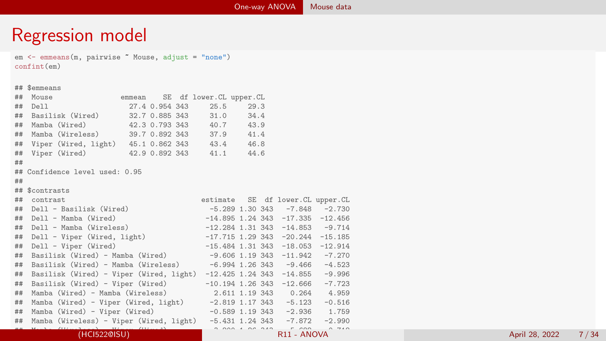#### Regression model

em <- emmeans(m, pairwise ~ Mouse, adjust = "none")

```
confint(em)
## $emmeans
## Mouse emmean SE df lower.CL upper.CL
## Dell 27.4 0.954 343 25.5 29.3
## Basilisk (Wired) 32.7 0.885 343 31.0 34.4
## Mamba (Wired) 42.3 0.793 343 40.7 43.9
## Mamba (Wireless) 39.7 0.892 343 37.9 41.4
## Viper (Wired, light) 45.1 0.862 343 43.4 46.8
## Viper (Wired) 42.9 0.892 343
##
## Confidence level used: 0.95
##
## $contrasts
## contrast estimate SE df lower.CL upper.CL
## Dell - Basilisk (Wired) -5.289 1.30 343 -7.848 -2.730
## Dell - Mamba (Wired) -14.895 1.24 343 -17.335 -12.456
## Dell - Mamba (Wireless) -12.284 1.31 343 -14.853 -9.714
## Dell - Viper (Wired, light) -17.715 1.29 343 -20.244 -15.185
## Dell - Viper (Wired) -15.484 1.31 343 -18.053 -12.914
## Basilisk (Wired) - Mamba (Wired) -9.606 1.19 343 -11.942 -7.270
\text{\#}\# Basilisk (Wired) - Mamba (Wireless) -6.994 1.26 343 -9.466## Basilisk (Wired) - Viper (Wired, light) -12.425 1.24 343 -14.855 -9.996
## Basilisk (Wired) - Viper (Wired) -10.194 1.26 343 -12.666 -7.723
## Mamba (Wired) - Mamba (Wireless)
## Mamba (Wired) - Viper (Wired, light) -2.819 1.17 343 -5.123 -0.516
## Mamba (Wired) - Viper (Wired) -0.589 1.19 343 -2.936 1.759
## Mamba (Wireless) - Viper (Wired, light) -5.431 1.24 343 -7.872 -2.990
## Mamba (Wireless) - Viper (Wired) -3.200 1.26 343 -5.682 -0.718
```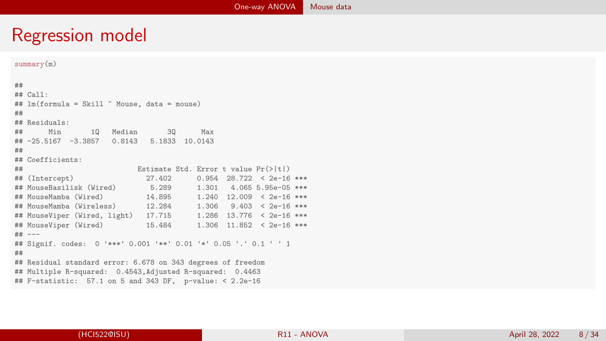### Regression model

```
summary(m)
##
## Call:
## lm(formula = Skill ~ Mouse, data = mouse)
##
## Residuals:
## Min 1Q Median 3Q Max
## -25.5167 -3.3857 0.8143 5.1833 10.0143
##
## Coefficients:
## Estimate Std. Error t value Pr(>|t|)
                            27.402 0.954 28.722 < 2e-16 ***<br>5.289 1.301 4.065 5.95e-05 ***
## MouseBasilisk (Wired)
## MouseMamba (Wired) 14.895 1.240 12.009 < 2e-16 ***
## MouseMamba (Wireless) 12.284 1.306 9.403 < 2e-16 ***
## MouseViper (Wired, light) 17.715
## MouseViper (Wired) 15.484 1.306 11.852 < 2e-16 ***
## ---
## Signif. codes: 0 '***' 0.001 '**' 0.01 '*' 0.05 '.' 0.1 ' ' 1
##
## Residual standard error: 6.678 on 343 degrees of freedom
## Multiple R-squared: 0.4543,Adjusted R-squared: 0.4463
## F-statistic: 57.1 on 5 and 343 DF, p-value: < 2.2e-16
```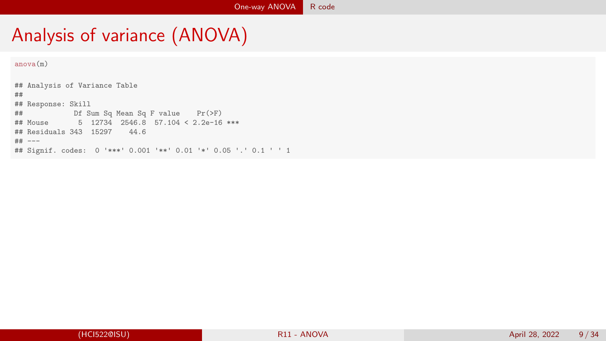# <span id="page-8-0"></span>Analysis of variance (ANOVA)

anova(m)

## Analysis of Variance Table ## ## Response: Skill ## Df Sum Sq Mean Sq F value Pr(>F) ## Mouse 5 12734 2546.8 57.104 < 2.2e-16 \*\*\* ## Residuals 343 15297 44.6 ## --- ## Signif. codes: 0 '\*\*\*' 0.001 '\*\*' 0.01 '\*' 0.05 '.' 0.1 ' ' 1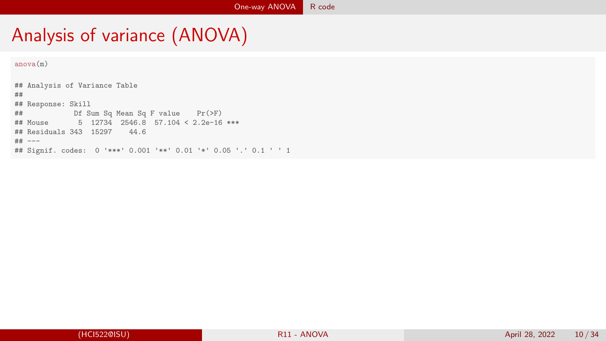# Analysis of variance (ANOVA)

anova(m)

## Analysis of Variance Table ## ## Response: Skill ## Df Sum Sq Mean Sq F value Pr(>F) ## Mouse 5 12734 2546.8 57.104 < 2.2e-16 \*\*\* ## Residuals 343 15297 44.6 ## --- ## Signif. codes: 0 '\*\*\*' 0.001 '\*\*' 0.01 '\*' 0.05 '.' 0.1 ' ' 1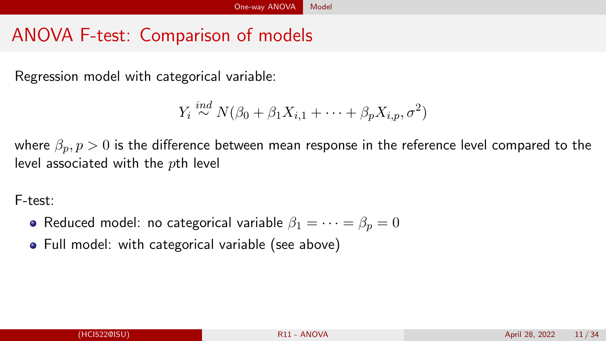# <span id="page-10-0"></span>ANOVA F-test: Comparison of models

Regression model with categorical variable:

$$
Y_i \stackrel{ind}{\sim} N(\beta_0 + \beta_1 X_{i,1} + \dots + \beta_p X_{i,p}, \sigma^2)
$$

where  $\beta_p$ ,  $p > 0$  is the difference between mean response in the reference level compared to the level associated with the  $p$ th level

F-test:

- Reduced model: no categorical variable  $\beta_1 = \cdots = \beta_n = 0$
- Full model: with categorical variable (see above)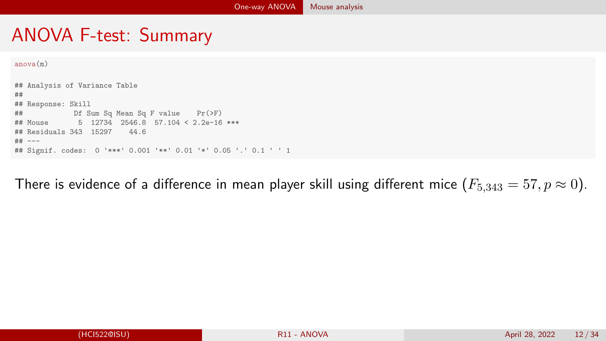### <span id="page-11-0"></span>ANOVA F-test: Summary

```
anova(m)
```
## Analysis of Variance Table ## ## Response: Skill ## Df Sum Sq Mean Sq F value Pr(>F)  $5$  12734 2546.8 57.104 < 2.2e-16 \*\*\* ## Residuals 343 15297 44.6 ## --- ## Signif. codes: 0 '\*\*\*' 0.001 '\*\*' 0.01 '\*' 0.05 '.' 0.1 ' ' 1

There is evidence of a difference in mean player skill using different mice  $(F_{5,343} = 57, p \approx 0)$ .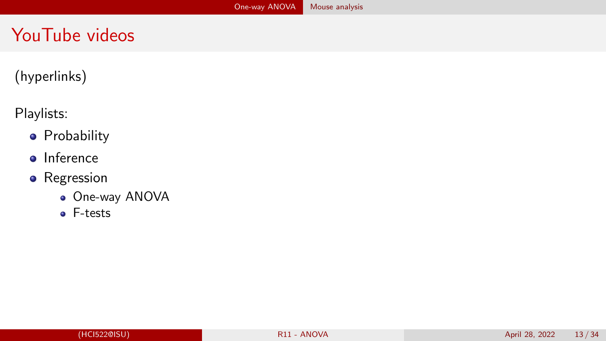## YouTube videos

#### (hyperlinks)

#### Playlists:

- **•** [Probability](https://www.youtube.com/playlist?list=PLFHD4aOUZFp1FxJs9BG5Sbsy6NvCO3Qb1)
- **o** [Inference](https://www.youtube.com/playlist?list=PLFHD4aOUZFp1PZC6SgtuS-ESq4ti1GEFj)
- [Regression](https://www.youtube.com/playlist?list=PLFHD4aOUZFp2xijRVpW7ucwSbToEAGBzq)
	- [One-way ANOVA](https://www.youtube.com/watch?v=1qzlZlm-2Ak&list=PLFHD4aOUZFp2xijRVpW7ucwSbToEAGBzq&index=12&ab_channel=JaradNiemi)
	- [F-tests](https://www.youtube.com/watch?v=GHNgosl97Xw&list=PLFHD4aOUZFp2xijRVpW7ucwSbToEAGBzq&index=13&ab_channel=JaradNiemi)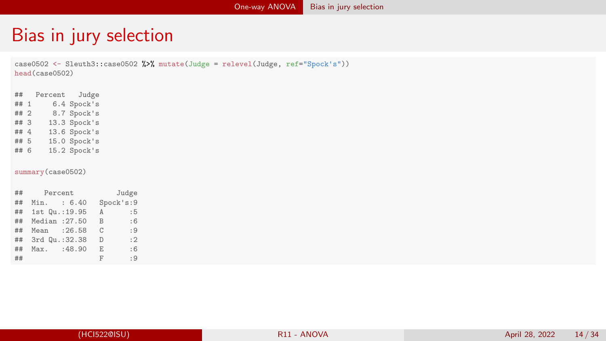#### <span id="page-13-0"></span>Bias in jury selection

case0502 <- Sleuth3::case0502 %>% mutate(Judge = relevel(Judge, ref="Spock's")) head(case0502)

## Percent Judge ## 1 6.4 Spock's ## 2 8.7 Spock's<br>## 3 13.3 Spock's  $## 3$  13.3 Spock's<br> $## 4$  13.6 Spock's ## 4  $13.6$  Spock's<br>## 5  $15.0$  Spock's  $## 5$  15.0 Spock's<br> $## 6$  15.2 Spock's  $15.2$  Spock's

summary(case0502)

| $\#$ # | Percent           |              | Judge     |
|--------|-------------------|--------------|-----------|
| ##     | Min. : 6.40       |              | Spock's:9 |
| ##     | 1st Qu.: 19.95    | A            | :5        |
|        | ## Median : 27.50 | <sub>B</sub> | :6        |
| ##     | Mean : 26.58      | C            | :9        |
|        | ## 3rd Qu.:32.38  | D            | : 2       |
| ##     | Max. : 48.90      | E.           | :6        |
| ##     |                   | F            | : 9       |
|        |                   |              |           |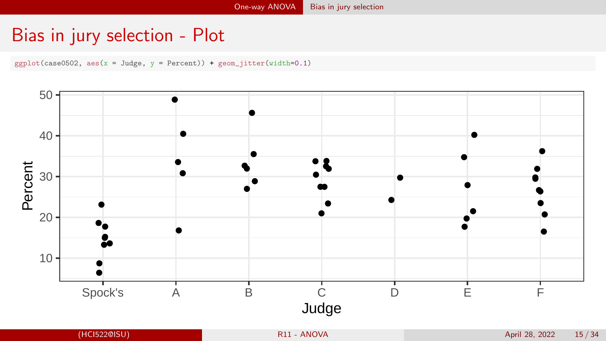### Bias in jury selection - Plot

 $ggplot(case0502, aes(x = Judge, y = Percent)) + geom_jitter(width=0.1)$ 

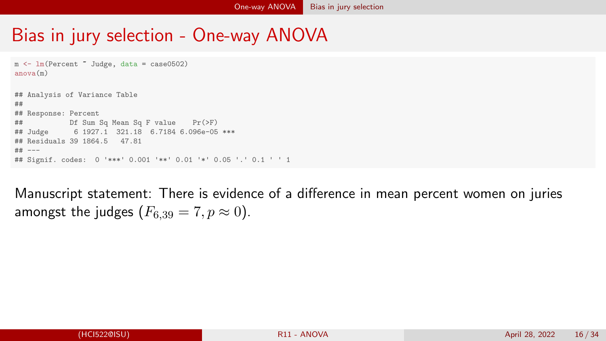### Bias in jury selection - One-way ANOVA

```
m <- lm(Percent \tilde{a} Judge, data = case0502)
anova(m)
## Analysis of Variance Table
##
## Response: Percent
## Df Sum Sq Mean Sq F value Pr(>F)
## Judge 6 1927.1 321.18 6.7184 6.096e-05 ***
## Residuals 39 1864.5 47.81
## ---
## Signif. codes: 0 '***' 0.001 '**' 0.01 '*' 0.05 '.' 0.1 ' ' 1
```
Manuscript statement: There is evidence of a difference in mean percent women on juries amongst the judges  $(F_{6,39} = 7, p \approx 0)$ .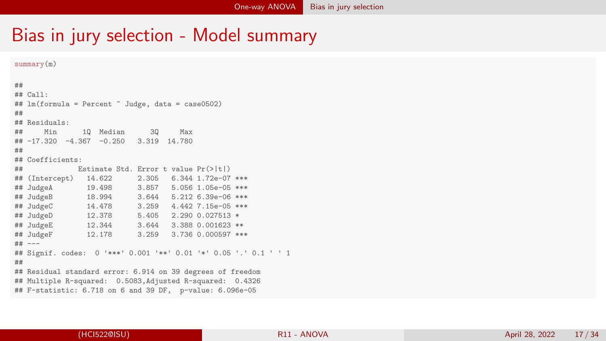#### Bias in jury selection - Model summary

```
##
## Call:
## lm(formula = Percent ~ Judge, data = case0502)
##
## Residuals:
## Min 1Q Median 3Q Max
## -17.320 -4.367 -0.250 3.319 14.780
##
## Coefficients:
## Estimate Std. Error t value Pr(>|t|)
## (Intercept) 14.622<br>## JudgeA 19.498
                         3.857 5.056 1.05e-05 ***
## JudgeB 18.994 3.644 5.212 6.39e-06 ***
## JudgeC 14.478 3.259 4.442 7.15e-05 ***
          12.378 5.405 2.290 0.027513 *
## JudgeE 12.344 3.644 3.388 0.001623 **
                         3.259 3.736 0.000597 ***
## ---
## Signif. codes: 0 '***' 0.001 '**' 0.01 '*' 0.05 '.' 0.1 ' ' 1
##
## Residual standard error: 6.914 on 39 degrees of freedom
## Multiple R-squared: 0.5083,Adjusted R-squared: 0.4326
## F-statistic: 6.718 on 6 and 39 DF, p-value: 6.096e-05
```
summary(m)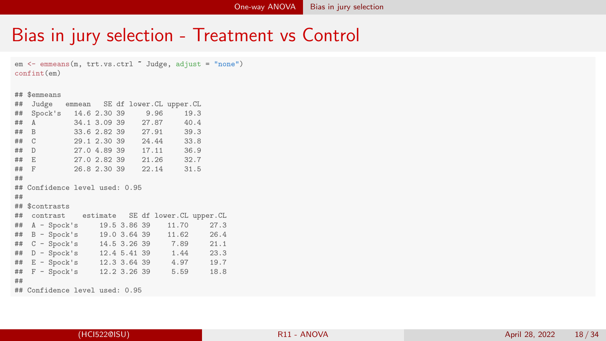### Bias in jury selection - Treatment vs Control

```
em <- emmeans(m, trt.vs.ctrl ~ Judge, adjust = "none")
confint(em)
```
#### ## \$emmeans ## Judge emmean SE df lower.CL upper.CL ## Spock's 14.6 2.30 39 9.96 19.3 ## A 34.1 3.09 39 27.87 40.4 ## B 33.6 2.82 39 27.91 39.3 ## C 29.1 2.30 39 24.44 33.8 ## D 27.0 4.89 39 17.11 36.9 ## E 27.0 2.82 39 21.26 32.7 26.8 2.30 39 ## ## Confidence level used: 0.95 ## ## \$contrasts ## contrast estimate SE df lower.CL upper.CL ## A - Spock's 19.5 3.86 39 11.70 27.3 ## B - Spock's 19.0 3.64 39 11.62 26.4  $C - Spock's$  14.5 3.26 39 ## D - Spock's 12.4 5.41 39 1.44 23.3 ## E - Spock's 12.3 3.64 39 4.97 19.7  $#$   $F -$  Spock's ## ## Confidence level used: 0.95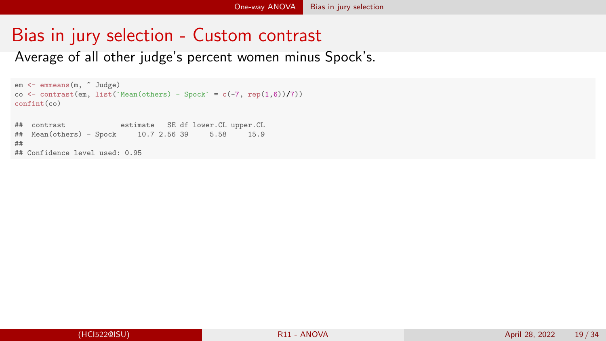# Bias in jury selection - Custom contrast

Average of all other judge's percent women minus Spock's.

```
em <- emmeans(m, ~ Judge)
co \le contrast(em, list('Mean(others) - Spock' = c(-7, rep(1,6))/7))
confint(co)
## contrast estimate SE df lower.CL upper.CL
## Mean(others) - Spock 10.7 2.56 39
##
## Confidence level used: 0.95
```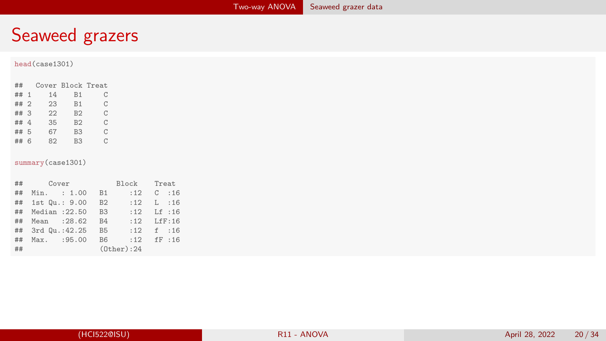<span id="page-19-0"></span>

|      | head(case1301)     |                |                |                   |          |
|------|--------------------|----------------|----------------|-------------------|----------|
| ##   | Cover Block Treat  |                |                |                   |          |
| ## 1 | 14                 | <b>B1</b>      | $\mathbf C$    |                   |          |
| ## 2 | 23                 | B1             | $\rm C$        |                   |          |
| ## 3 | 22                 | B2             | $\mathbf C$    |                   |          |
| ## 4 | 35                 | B2             | $\rm C$        |                   |          |
| ## 5 | 67                 | B <sub>3</sub> | $\mathcal{C}$  |                   |          |
| ## 6 | 82                 | B <sub>3</sub> | $\rm C$        |                   |          |
|      |                    |                |                |                   |          |
|      | summary (case1301) |                |                |                   |          |
|      |                    |                |                |                   |          |
| ##   | Cover              |                |                | Block             | Treat    |
| ##   | Min. : 1.00        |                | <b>B1</b>      | :12               | $C$ : 16 |
| ##   | 1st Qu.: 9.00      |                | B2             | :12               | L : 16   |
| ##   | Median : 22.50     |                | B <sub>3</sub> | :12               | Lf : 16  |
| ##   | Mean : 28.62       |                | <b>B4</b>      | :12               | Lff:16   |
| ##   | 3rd Qu.: 42.25     |                | B <sub>5</sub> | :12               | $f$ :16  |
| ##   | Max.               | :95.00         | B <sub>6</sub> | :12               | fF : 16  |
| ##   |                    |                |                | $(0$ ther $):$ 24 |          |
|      |                    |                |                |                   |          |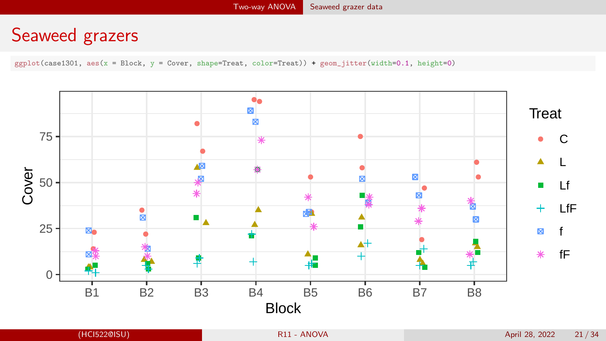$ggplot(case1301, aes(x = Block, y = Cover, shape=Trueat, color=Trueat)) + geom_jitterwidth=0.1, height=0)$ 

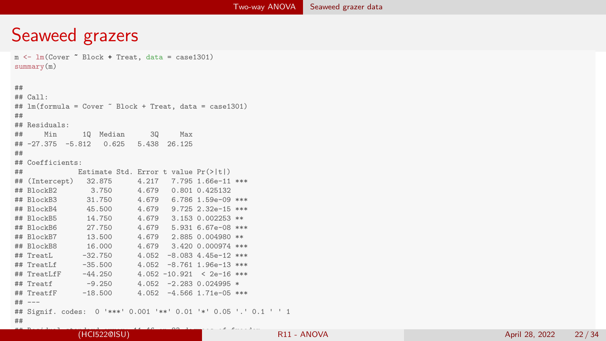```
m <- lm(Cover ~ Block + Treat, data = case1301)
summary(m)
##
## Call:
## lm(formula = Cover ~ Block + Treat, data = case1301)
##
## Residuals:
## Min 1Q Median 3Q Max
## -27.375 -5.812 0.625 5.438 26.125
##
## Coefficients:
## Estimate Std. Error t value Pr(>|t|)
## (Intercept) 32.875 4.217 7.795 1.66e-11 ***
## BlockB2 3.750 4.679 0.801 0.425132
                          4.679 6.786 1.59e-09 ***
## BlockB4 45.500 4.679 9.725 2.32e-15 ***
## BlockB5 14.750 4.679 3.153 0.002253 **
                          4.679 5.931 6.67e-08 ***
## BlockB7 13.500 4.679 2.885 0.004980 **
## BlockB8 16.000 4.679 3.420 0.000974 ***
## TreatL -32.750 4.052 -8.083 4.45e-12 ***
                          4.052 -8.761 1.96e-13 ***
## TreatLfF -44.250 4.052 -10.921 < 2e-16 ***
\text{#} Treatf -9.250 4.052 -2.283 0.024995 \text{*}<br>\text{#} TreatfF -18.500 4.052 -4.566 1.71e-05 \text{*}4.052 -4.566 1.71e-05 ***
## ---
## Signif. codes: 0 '***' 0.001 '**' 0.01 '*' 0.05 '.' 0.1 ' ' 1
##
```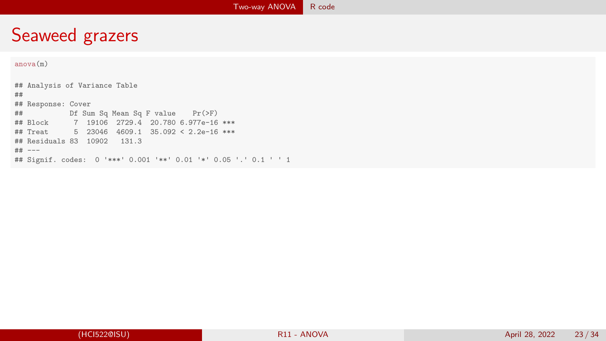#### <span id="page-22-0"></span>anova(m)

## Analysis of Variance Table ## ## Response: Cover ## Df Sum Sq Mean Sq F value Pr(>F) ## Block 7 19106 2729.4 20.780 6.977e-16 \*\*\* ## Treat 5 23046 4609.1 35.092 < 2.2e-16 \*\*\* ## Residuals 83 10902 131.3 ## --- ## Signif. codes: 0 '\*\*\*' 0.001 '\*\*' 0.01 '\*' 0.05 '.' 0.1 ' ' 1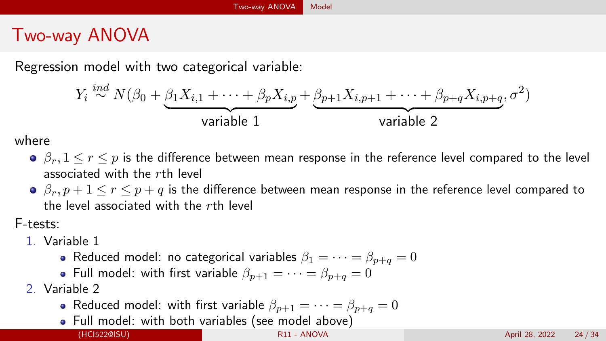## <span id="page-23-0"></span>Two-way ANOVA

Regression model with two categorical variable:

$$
Y_i \stackrel{ind}{\sim} N(\beta_0 + \underbrace{\beta_1 X_{i,1} + \dots + \beta_p X_{i,p}}_{\text{variable 1}} + \underbrace{\beta_{p+1} X_{i,p+1} + \dots + \beta_{p+q} X_{i,p+q}}_{\text{variable 2}}, \sigma^2)
$$

where

- $\theta$ ,  $\beta_r$ ,  $1 \leq r \leq p$  is the difference between mean response in the reference level compared to the level associated with the rth level
- $\theta$ ,  $\beta_r$ ,  $p+1 \le r \le p+q$  is the difference between mean response in the reference level compared to the level associated with the rth level

F-tests:

- 1. Variable 1
	- Reduced model: no categorical variables  $\beta_1 = \cdots = \beta_{n+a} = 0$
	- Full model: with first variable  $\beta_{n+1} = \cdots = \beta_{n+a} = 0$
- 2. Variable 2
	- Reduced model: with first variable  $\beta_{n+1} = \cdots = \beta_{n+a} = 0$
	- Full model: with both variables (see model above)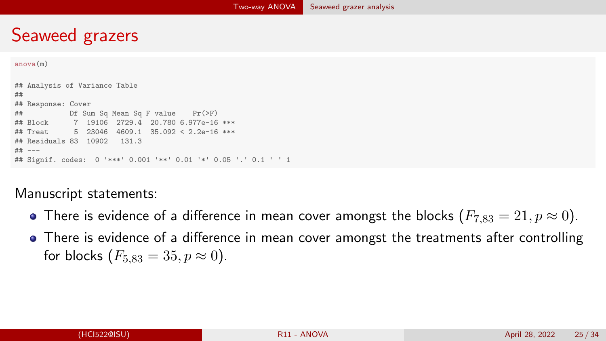```
anova(m)
```
## Analysis of Variance Table ## ## Response: Cover ## Df Sum Sq Mean Sq F value Pr(>F) ## Block 7 19106 2729.4 20.780 6.977e-16 \*\*\* 5 23046 4609 1 35.092 < 2.2e-16 \*\*\* ## Residuals 83 10902 131.3 ## --- ## Signif. codes: 0 '\*\*\*' 0.001 '\*\*' 0.01 '\*' 0.05 '.' 0.1 ' ' 1

#### Manuscript statements:

- There is evidence of a difference in mean cover amongst the blocks  $(F_{7,83} = 21, p \approx 0)$ .
- There is evidence of a difference in mean cover amongst the treatments after controlling for blocks  $(F_{5,83} = 35, p \approx 0)$ .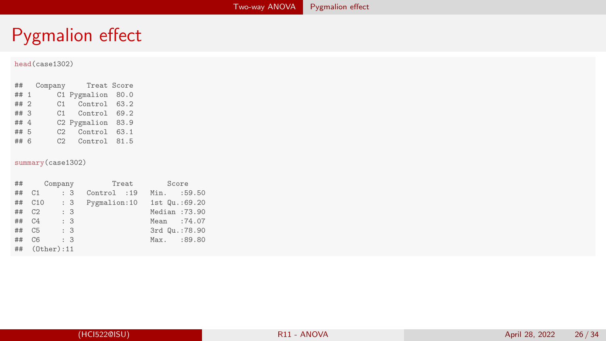#### <span id="page-25-0"></span>head(case1302)

## Company Treat Score ## 1 C1 Pygmalion 80.0<br>## 2 C1 Control 63.2 ## 2 C1 Control 63.2 ## 3 C1 Control 69.2 ## 4 C2 Pygmalion 83.9<br>## 5 C2 Control 63.1 ## 5 C2 Control 63.1  $C2$  Control 81.5

#### summary(case1302)

| ## | Company          |     | Treat         | Score          |
|----|------------------|-----|---------------|----------------|
| ## | C <sub>1</sub>   | : 3 | Control :19   | :59.50<br>Min. |
| ## | C10              | : 3 | Pygmalion: 10 | 1st Qu.: 69.20 |
| ## | C <sub>2</sub>   | : 3 |               | Median:73.90   |
| ## | C <sub>4</sub>   | : 3 |               | Mean :74.07    |
| ## | C <sub>5</sub>   | : 3 |               | 3rd Qu.: 78.90 |
| ## | C <sub>6</sub>   | : 3 |               | Max. :89.80    |
| ## | $(0$ ther $):11$ |     |               |                |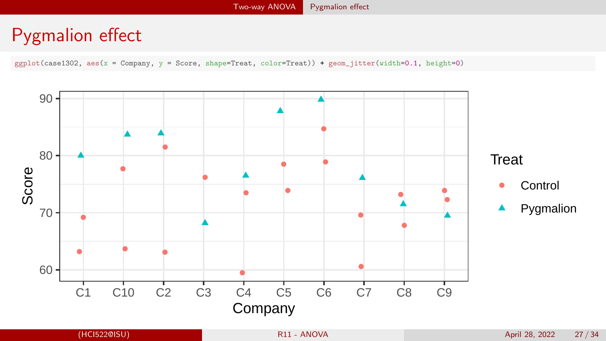ggplot(case1302, aes(x = Company, y = Score, shape=Treat, color=Treat)) + geom\_jitter(width=0.1, height=0)

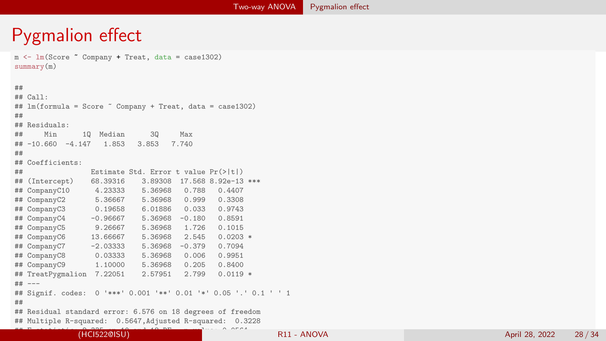m <- lm(Score ~ Company + Treat, data = case1302) summary(m) ## ## Call: ## lm(formula = Score ~ Company + Treat, data = case1302) ## ## Residuals: ## Min 1Q Median 3Q Max  $\#$  +  $-10.660 -4.147$ ## ## Coefficients: ## Estimate Std. Error t value Pr(>|t|) ## (Intercept) 68.39316 3.89308 17.568 8.92e-13 \*\*\* ## CompanyC10 4.23333 5.36968 0.788 0.4407 ## CompanyC2 ## CompanyC3 0.19658 6.01886 0.033 0.9743 ## CompanyC4 -0.96667 5.36968 -0.180 0.8591 ## CompanyC5 9.26667 5.36968 ## CompanyC6 13.66667 5.36968 2.545 0.0203 \* ## CompanyC7 -2.03333 5.36968 -0.379 0.7094 ## CompanyC8 0.03333 5.36968 0.006<br>## CompanyC9 1.10000 5.36968 0.205 ## CompanyC9 1.10000 5.36968 0.205 0.8400 ## TreatPygmalion 7.22051 2.57951 2.799 0.0119 \* ## --- ## Signif. codes: 0 '\*\*\*' 0.001 '\*\*' 0.01 '\*' 0.05 '.' 0.1 ' ' 1 ## ## Residual standard error: 6.576 on 18 degrees of freedom ## Multiple R-squared: 0.5647,Adjusted R-squared: 0.3228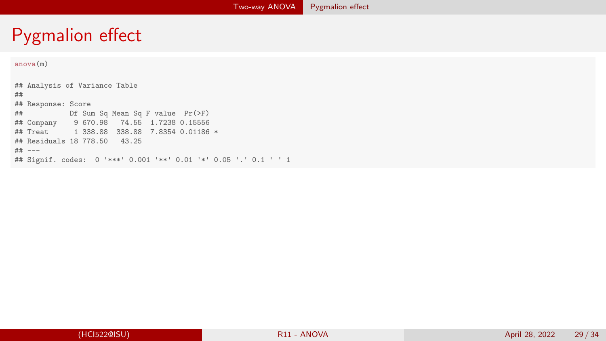#### anova(m)

## Analysis of Variance Table ## ## Response: Score ## Df Sum Sq Mean Sq F value Pr(>F) ## Company 9 670.98 74.55 1.7238 0.15556 ## Treat 1 338.88 338.88 7.8354 0.01186 \* ## Residuals 18 778.50 43.25 ## --- ## Signif. codes: 0 '\*\*\*' 0.001 '\*\*' 0.01 '\*' 0.05 '.' 0.1 ' ' 1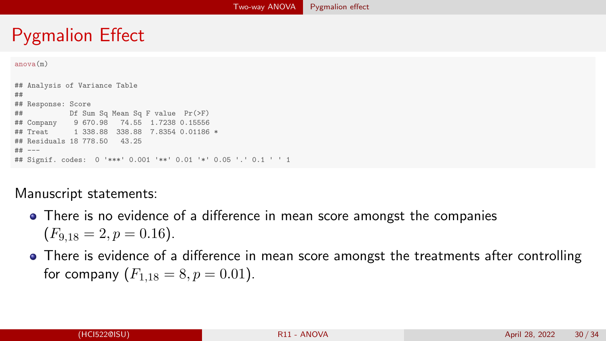```
anova(m)
```

```
## Analysis of Variance Table
##
## Response: Score
## Df Sum Sq Mean Sq F value Pr(>F)
## Company 9 670.98 74.55 1.7238 0.15556
## Treat 1 338.88 338.88 7.8354 0.01186 *
## Residuals 18 778.50 43.25
## ---
## Signif. codes: 0 '***' 0.001 '**' 0.01 '*' 0.05 '.' 0.1 ' ' 1
```
#### Manuscript statements:

- There is no evidence of a difference in mean score amongst the companies  $(F_{9,18} = 2, p = 0.16).$
- There is evidence of a difference in mean score amongst the treatments after controlling for company  $(F_{1,18} = 8, p = 0.01)$ .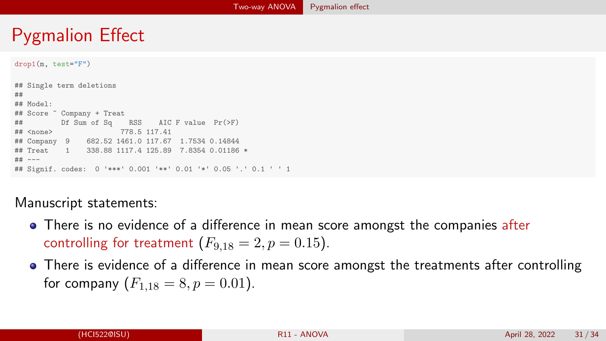```
drop1(m, test="F")
```
## Single term deletions ## ## Model: ## Score ~ Company + Treat ## Df Sum of Sq RSS AIC F value Pr(>F) ## <none> 778.5 117.41 ## Company 9 682.52 1461.0 117.67 1.7534 0.14844 ## Treat 1 338.88 1117.4 125.89 7.8354 0.01186 \* ## --- ## Signif. codes: 0 '\*\*\*' 0.001 '\*\*' 0.01 '\*' 0.05 '.' 0.1 ' ' 1

#### Manuscript statements:

- There is no evidence of a difference in mean score amongst the companies after controlling for treatment  $(F_{9,18} = 2, p = 0.15)$ .
- There is evidence of a difference in mean score amongst the treatments after controlling for company  $(F_{1,18} = 8, p = 0.01)$ .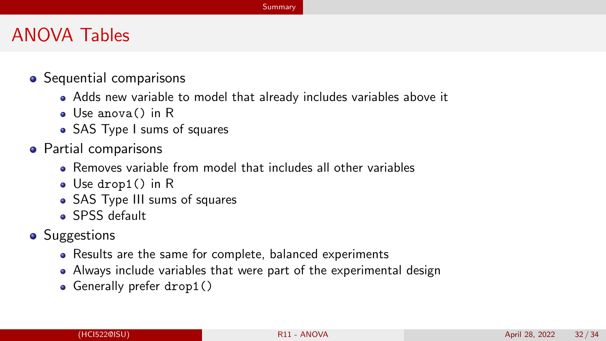#### **[Summary](#page-31-0)**

#### <span id="page-31-0"></span>ANOVA Tables

- Sequential comparisons
	- Adds new variable to model that already includes variables above it
	- Use anova() in R
	- SAS Type I sums of squares
- Partial comparisons
	- Removes variable from model that includes all other variables
	- Use drop1() in R
	- SAS Type III sums of squares
	- **SPSS** default
- Suggestions
	- Results are the same for complete, balanced experiments
	- Always include variables that were part of the experimental design
	- **Generally prefer drop1()**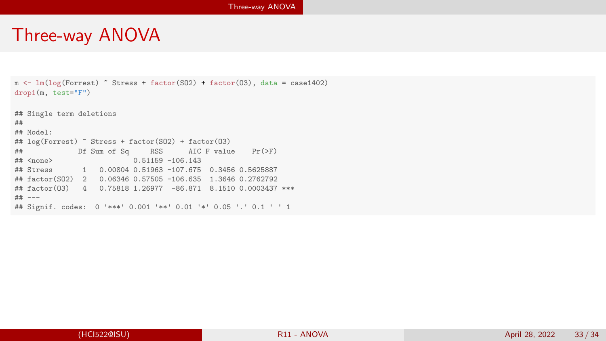#### <span id="page-32-0"></span>Three-way ANOVA

```
m <- lm(log(Forrest) ~ Stress + factor(SO2) + factor(O3), data = case1402)
drop1(m, test="F")
## Single term deletions
##
## Model:
# log(Forrest) ~ Stress + factor(SO2) + factor(O3)<br># metal by Sum of Sq. RSS. ATC F value
\# Example 11 Deg 12 Def Sum of Sq RSS AIC F value Pr(>F)
                             0.51159 - 106.143## Stress 1 0.00804 0.51963 -107.675 0.3456 0.5625887
## factor(SO2) 2 0.06346 0.57505 -106.635 1.3646 0.2762792
## factor(O3) 4 0.75818 1.26977 -86.871 8.1510 0.0003437 ***
## ---
## Signif. codes: 0 '***' 0.001 '**' 0.01 '*' 0.05 '.' 0.1 ' ' 1
```